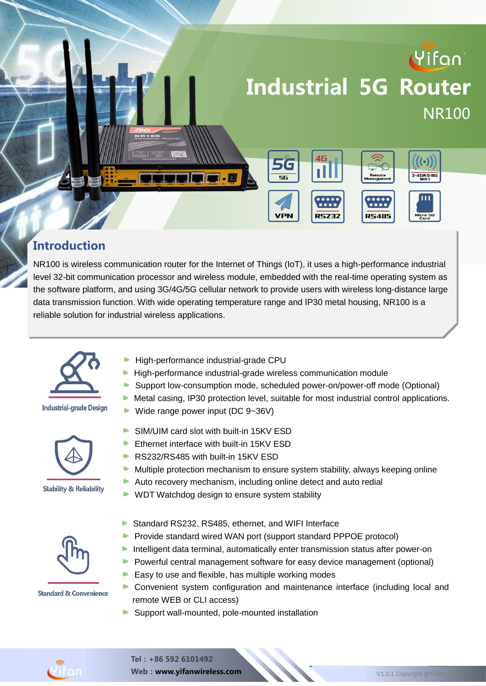

#### **Introduction**

NR100 is wireless communication router for the Internet of Things (IoT), it uses a high-performance industrial level 32-bit communication processor and wireless module, embedded with the real-time operating system as the software platform, and using 3G/4G/5G cellular network to provide users with wireless long-distance large data transmission function. With wide operating temperature range and IP30 metal housing, NR100 is a reliable solution for industrial wireless applications.

. The product has been widely used in the M2M industry of the IoT industry of the IoT industrial chain, such as small chain, such as small chain, such as small chain, such as small chain, such as small chain, such as smal



#### **Industrial-grade Design**







**Standard & Convenience** 

- intelligent transportation, smart manufacturing, smart home, and finance. High-performance industrial-grade CPU
	- **High-performance industrial-grade wireless communication module**
	- Support low-consumption mode, scheduled power-on/power-off mode (Optional)
	- $\blacktriangleright$  Metal casing, IP30 protection level, suitable for most industrial control applications.
	- Wide range power input (DC  $9-36V$ )
	- b. SIM/UIM card slot with built-in 15KV ESD
	- b. Ethernet interface with built-in 15KV ESD
	- RS232/RS485 with built-in 15KV ESD
	- $\blacktriangleright$  Multiple protection mechanism to ensure system stability, always keeping online
	- Auto recovery mechanism, including online detect and auto redial
	- ▶ WDT Watchdog design to ensure system stability
	- Standard RS232, RS485, ethernet, and WIFI Interface b.
	- Provide standard wired WAN port (support standard PPPOE protocol)
	- **Intelligent data terminal, automatically enter transmission status after power-on**
	- **Powerful central management software for easy device management (optional)**
	- $\blacktriangleright$  Easy to use and flexible, has multiple working modes
	- Convenient system configuration and maintenance interface (including local and remote WEB or CLI access)
	- Support wall-mounted, pole-mounted installation

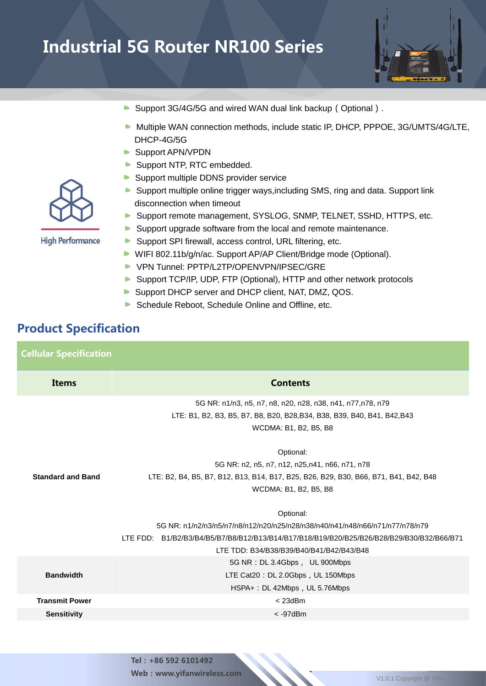

- Support 3G/4G/5G and wired WAN dual link backup (Optional).
- Multiple WAN connection methods, include static IP, DHCP, PPPOE, 3G/UMTS/4G/LTE, DHCP-4G/5G
- **Support APN/VPDN**
- Support NTP, RTC embedded.
- Support multiple DDNS provider service
- Support multiple online trigger ways,including SMS, ring and data. Support link disconnection when timeout
- Support remote management, SYSLOG, SNMP, TELNET, SSHD, HTTPS, etc.
- Support upgrade software from the local and remote maintenance.
- Support SPI firewall, access control, URL filtering, etc.
- WIFI 802.11b/g/n/ac. Support AP/AP Client/Bridge mode (Optional).
- VPN Tunnel: PPTP/L2TP/OPENVPN/IPSEC/GRE
- Support TCP/IP, UDP, FTP (Optional), HTTP and other network protocols
- Support DHCP server and DHCP client, NAT, DMZ, QOS.
- Schedule Reboot, Schedule Online and Offline, etc.

#### Product Specification

Cellular Specification **Items** Contents **Standard and Band** 5G NR: n1/n3, n5, n7, n8, n20, n28, n38, n41, n77,n78, n79 LTE: B1, B2, B3, B5, B7, B8, B20, B28,B34, B38, B39, B40, B41, B42,B43 WCDMA: B1, B2, B5, B8 Optional: 5G NR: n2, n5, n7, n12, n25,n41, n66, n71, n78 LTE: B2, B4, B5, B7, B12, B13, B14, B17, B25, B26, B29, B30, B66, B71, B41, B42, B48 WCDMA: B1, B2, B5, B8 Optional: 5G NR: n1/n2/n3/n5/n7/n8/n12/n20/n25/n28/n38/n40/n41/n48/n66/n71/n77/n78/n79 LTE FDD: B1/B2/B3/B4/B5/B7/B8/B12/B13/B14/B17/B18/B19/B20/B25/B26/B28/B29/B30/B32/B66/B71 LTE TDD: B34/B38/B39/B40/B41/B42/B43/B48 **Bandwidth** 5G NR:DL 3.4Gbps, UL 900Mbps LTE Cat20: DL 2.0Gbps, UL 150Mbps HSPA+: DL 42Mbps, UL 5.76Mbps **Transmit Power** < 23dBm **Sensitivity** < -97dBm



Tel:+86 592 6101492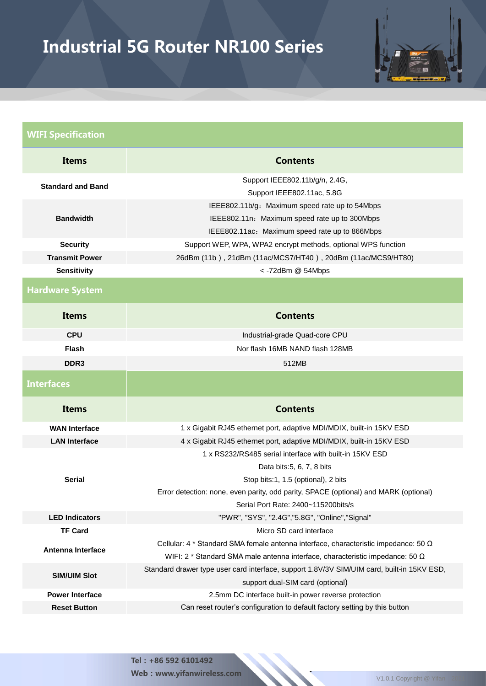

| <b>Contents</b>                                                                                                                                                                                                                                             |  |  |
|-------------------------------------------------------------------------------------------------------------------------------------------------------------------------------------------------------------------------------------------------------------|--|--|
| Support IEEE802.11b/g/n, 2.4G,<br>Support IEEE802.11ac, 5.8G                                                                                                                                                                                                |  |  |
| IEEE802.11b/g: Maximum speed rate up to 54Mbps<br>IEEE802.11n: Maximum speed rate up to 300Mbps<br>IEEE802.11ac: Maximum speed rate up to 866Mbps                                                                                                           |  |  |
| Support WEP, WPA, WPA2 encrypt methods, optional WPS function                                                                                                                                                                                               |  |  |
| 26dBm (11b), 21dBm (11ac/MCS7/HT40), 20dBm (11ac/MCS9/HT80)                                                                                                                                                                                                 |  |  |
| <- 72dBm @ 54Mbps                                                                                                                                                                                                                                           |  |  |
|                                                                                                                                                                                                                                                             |  |  |
| <b>Contents</b>                                                                                                                                                                                                                                             |  |  |
| Industrial-grade Quad-core CPU                                                                                                                                                                                                                              |  |  |
| Nor flash 16MB NAND flash 128MB                                                                                                                                                                                                                             |  |  |
| 512MB                                                                                                                                                                                                                                                       |  |  |
|                                                                                                                                                                                                                                                             |  |  |
| <b>Contents</b>                                                                                                                                                                                                                                             |  |  |
| 1 x Gigabit RJ45 ethernet port, adaptive MDI/MDIX, built-in 15KV ESD                                                                                                                                                                                        |  |  |
| 4 x Gigabit RJ45 ethernet port, adaptive MDI/MDIX, built-in 15KV ESD                                                                                                                                                                                        |  |  |
| 1 x RS232/RS485 serial interface with built-in 15KV ESD<br>Data bits: 5, 6, 7, 8 bits<br>Stop bits:1, 1.5 (optional), 2 bits<br>Error detection: none, even parity, odd parity, SPACE (optional) and MARK (optional)<br>Serial Port Rate: 2400~115200bits/s |  |  |
|                                                                                                                                                                                                                                                             |  |  |
| "PWR", "SYS", "2.4G", "5.8G", "Online", "Signal"                                                                                                                                                                                                            |  |  |
| Micro SD card interface                                                                                                                                                                                                                                     |  |  |
| Cellular: 4 $*$ Standard SMA female antenna interface, characteristic impedance: 50 $\Omega$<br>WIFI: 2 * Standard SMA male antenna interface, characteristic impedance: 50 $\Omega$                                                                        |  |  |
| Standard drawer type user card interface, support 1.8V/3V SIM/UIM card, built-in 15KV ESD,<br>support dual-SIM card (optional)                                                                                                                              |  |  |
| 2.5mm DC interface built-in power reverse protection                                                                                                                                                                                                        |  |  |
|                                                                                                                                                                                                                                                             |  |  |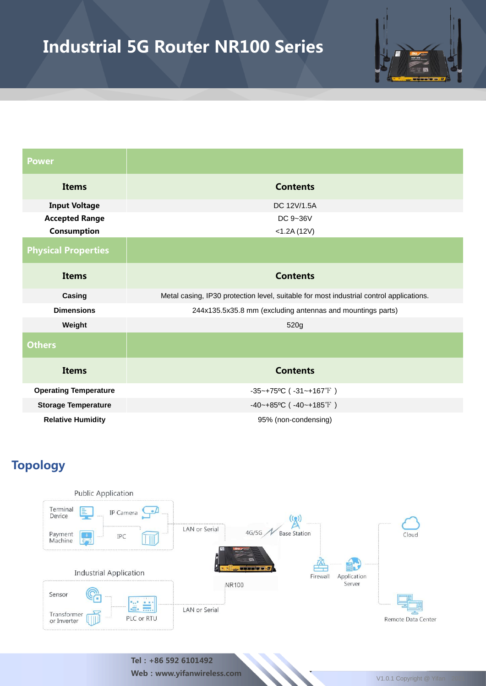

| <b>Power</b>                 |                                                                                         |  |  |
|------------------------------|-----------------------------------------------------------------------------------------|--|--|
| <b>Items</b>                 | <b>Contents</b>                                                                         |  |  |
| <b>Input Voltage</b>         | DC 12V/1.5A                                                                             |  |  |
| <b>Accepted Range</b>        | DC 9~36V                                                                                |  |  |
| Consumption                  | $<$ 1.2A $(12V)$                                                                        |  |  |
| <b>Physical Properties</b>   |                                                                                         |  |  |
| <b>Items</b>                 | <b>Contents</b>                                                                         |  |  |
| Casing                       | Metal casing, IP30 protection level, suitable for most industrial control applications. |  |  |
| <b>Dimensions</b>            | 244x135.5x35.8 mm (excluding antennas and mountings parts)                              |  |  |
| Weight                       | 520g                                                                                    |  |  |
| <b>Others</b>                |                                                                                         |  |  |
| <b>Items</b>                 | <b>Contents</b>                                                                         |  |  |
| <b>Operating Temperature</b> | $-35$ ~+75°C ( $-31$ ~+167°F)                                                           |  |  |
| <b>Storage Temperature</b>   | $-40$ ~+85°C ( $-40$ ~+185°F)                                                           |  |  |
| <b>Relative Humidity</b>     | 95% (non-condensing)                                                                    |  |  |

### Topology